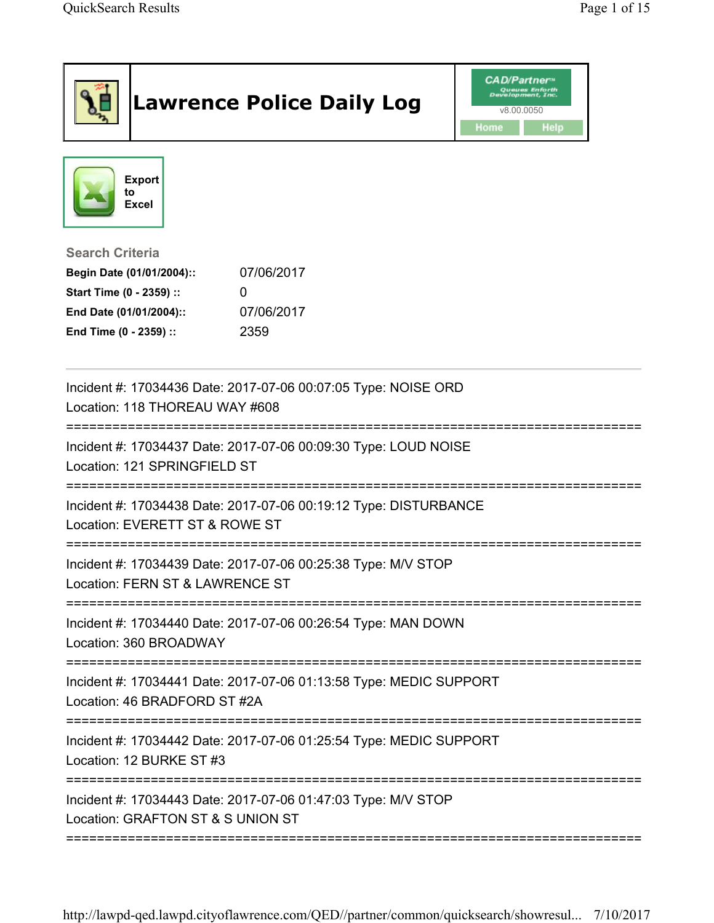|                                                                                                                                      | <b>Lawrence Police Daily Log</b>                                   | <b>CAD/Partner</b> "<br>lopment, Inc.<br>v8.00.0050<br>Home<br>Help |
|--------------------------------------------------------------------------------------------------------------------------------------|--------------------------------------------------------------------|---------------------------------------------------------------------|
| <b>Export</b><br>to<br><b>Excel</b>                                                                                                  |                                                                    |                                                                     |
| <b>Search Criteria</b><br>Begin Date (01/01/2004)::<br>Start Time (0 - 2359) ::<br>End Date (01/01/2004)::<br>End Time (0 - 2359) :: | 07/06/2017<br>0<br>07/06/2017<br>2359                              |                                                                     |
| Location: 118 THOREAU WAY #608                                                                                                       | Incident #: 17034436 Date: 2017-07-06 00:07:05 Type: NOISE ORD     |                                                                     |
| Location: 121 SPRINGFIELD ST                                                                                                         | Incident #: 17034437 Date: 2017-07-06 00:09:30 Type: LOUD NOISE    |                                                                     |
| Location: EVERETT ST & ROWE ST                                                                                                       | Incident #: 17034438 Date: 2017-07-06 00:19:12 Type: DISTURBANCE   |                                                                     |
| Location: FERN ST & LAWRENCE ST                                                                                                      | Incident #: 17034439 Date: 2017-07-06 00:25:38 Type: M/V STOP      |                                                                     |
| Incident #: 17034440 Date: 2017-07-06 00:26:54 Type: MAN DOWN<br>Location: 360 BROADWAY                                              |                                                                    |                                                                     |
| Location: 46 BRADFORD ST #2A                                                                                                         | Incident #: 17034441 Date: 2017-07-06 01:13:58 Type: MEDIC SUPPORT |                                                                     |
| Location: 12 BURKE ST #3                                                                                                             | Incident #: 17034442 Date: 2017-07-06 01:25:54 Type: MEDIC SUPPORT |                                                                     |
| Location: GRAFTON ST & S UNION ST                                                                                                    | Incident #: 17034443 Date: 2017-07-06 01:47:03 Type: M/V STOP      |                                                                     |

http://lawpd-qed.lawpd.cityoflawrence.com/QED//partner/common/quicksearch/showresul... 7/10/2017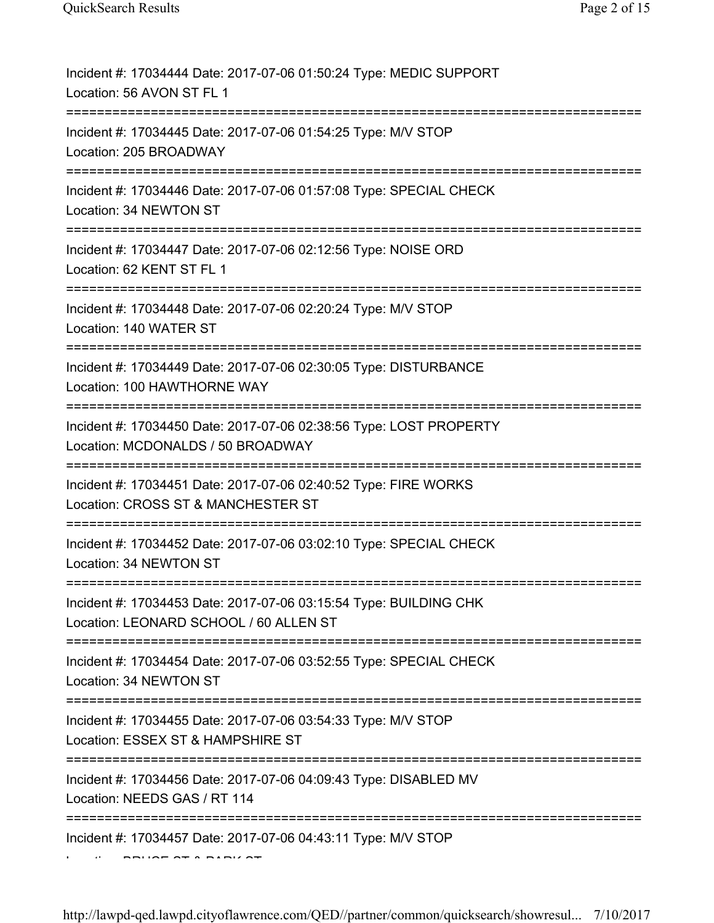| Incident #: 17034444 Date: 2017-07-06 01:50:24 Type: MEDIC SUPPORT<br>Location: 56 AVON ST FL 1                            |
|----------------------------------------------------------------------------------------------------------------------------|
| Incident #: 17034445 Date: 2017-07-06 01:54:25 Type: M/V STOP<br>Location: 205 BROADWAY                                    |
| Incident #: 17034446 Date: 2017-07-06 01:57:08 Type: SPECIAL CHECK<br>Location: 34 NEWTON ST                               |
| Incident #: 17034447 Date: 2017-07-06 02:12:56 Type: NOISE ORD<br>Location: 62 KENT ST FL 1<br>========================    |
| Incident #: 17034448 Date: 2017-07-06 02:20:24 Type: M/V STOP<br>Location: 140 WATER ST                                    |
| Incident #: 17034449 Date: 2017-07-06 02:30:05 Type: DISTURBANCE<br>Location: 100 HAWTHORNE WAY                            |
| Incident #: 17034450 Date: 2017-07-06 02:38:56 Type: LOST PROPERTY<br>Location: MCDONALDS / 50 BROADWAY                    |
| Incident #: 17034451 Date: 2017-07-06 02:40:52 Type: FIRE WORKS<br>Location: CROSS ST & MANCHESTER ST                      |
| Incident #: 17034452 Date: 2017-07-06 03:02:10 Type: SPECIAL CHECK<br>Location: 34 NEWTON ST                               |
| Incident #: 17034453 Date: 2017-07-06 03:15:54 Type: BUILDING CHK<br>Location: LEONARD SCHOOL / 60 ALLEN ST                |
| Incident #: 17034454 Date: 2017-07-06 03:52:55 Type: SPECIAL CHECK<br>Location: 34 NEWTON ST                               |
| Incident #: 17034455 Date: 2017-07-06 03:54:33 Type: M/V STOP<br>Location: ESSEX ST & HAMPSHIRE ST                         |
| ======================<br>Incident #: 17034456 Date: 2017-07-06 04:09:43 Type: DISABLED MV<br>Location: NEEDS GAS / RT 114 |
| Incident #: 17034457 Date: 2017-07-06 04:43:11 Type: M/V STOP                                                              |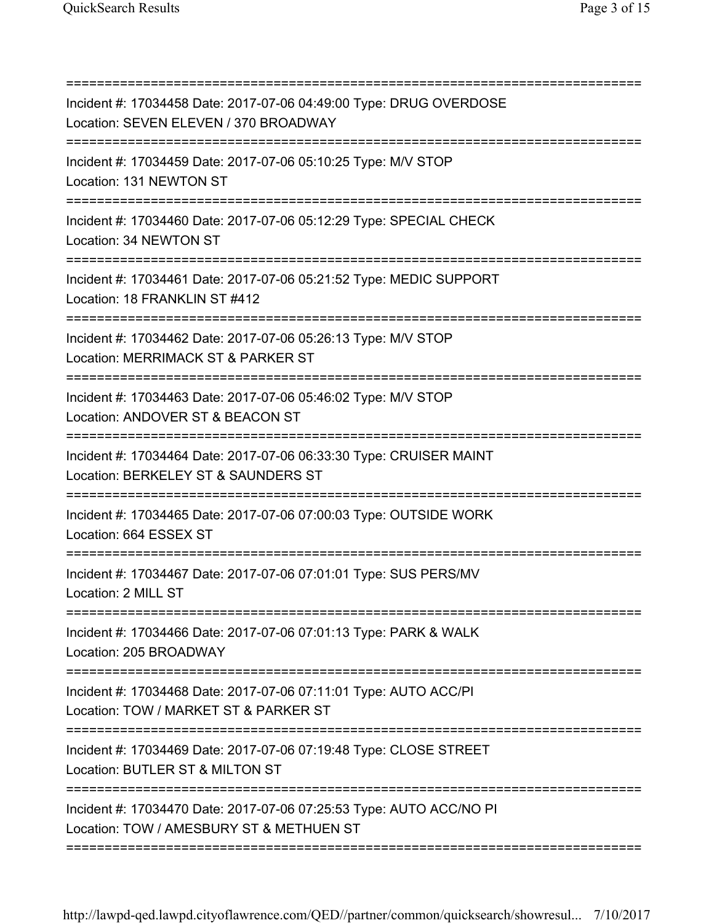=========================================================================== Incident #: 17034458 Date: 2017-07-06 04:49:00 Type: DRUG OVERDOSE Location: SEVEN ELEVEN / 370 BROADWAY =========================================================================== Incident #: 17034459 Date: 2017-07-06 05:10:25 Type: M/V STOP Location: 131 NEWTON ST =========================================================================== Incident #: 17034460 Date: 2017-07-06 05:12:29 Type: SPECIAL CHECK Location: 34 NEWTON ST =========================================================================== Incident #: 17034461 Date: 2017-07-06 05:21:52 Type: MEDIC SUPPORT Location: 18 FRANKLIN ST #412 =========================================================================== Incident #: 17034462 Date: 2017-07-06 05:26:13 Type: M/V STOP Location: MERRIMACK ST & PARKER ST =========================================================================== Incident #: 17034463 Date: 2017-07-06 05:46:02 Type: M/V STOP Location: ANDOVER ST & BEACON ST =========================================================================== Incident #: 17034464 Date: 2017-07-06 06:33:30 Type: CRUISER MAINT Location: BERKELEY ST & SAUNDERS ST =========================================================================== Incident #: 17034465 Date: 2017-07-06 07:00:03 Type: OUTSIDE WORK Location: 664 ESSEX ST =========================================================================== Incident #: 17034467 Date: 2017-07-06 07:01:01 Type: SUS PERS/MV Location: 2 MILL ST =========================================================================== Incident #: 17034466 Date: 2017-07-06 07:01:13 Type: PARK & WALK Location: 205 BROADWAY =========================================================================== Incident #: 17034468 Date: 2017-07-06 07:11:01 Type: AUTO ACC/PI Location: TOW / MARKET ST & PARKER ST =========================================================================== Incident #: 17034469 Date: 2017-07-06 07:19:48 Type: CLOSE STREET Location: BUTLER ST & MILTON ST =========================================================================== Incident #: 17034470 Date: 2017-07-06 07:25:53 Type: AUTO ACC/NO PI Location: TOW / AMESBURY ST & METHUEN ST ===========================================================================

http://lawpd-qed.lawpd.cityoflawrence.com/QED//partner/common/quicksearch/showresul... 7/10/2017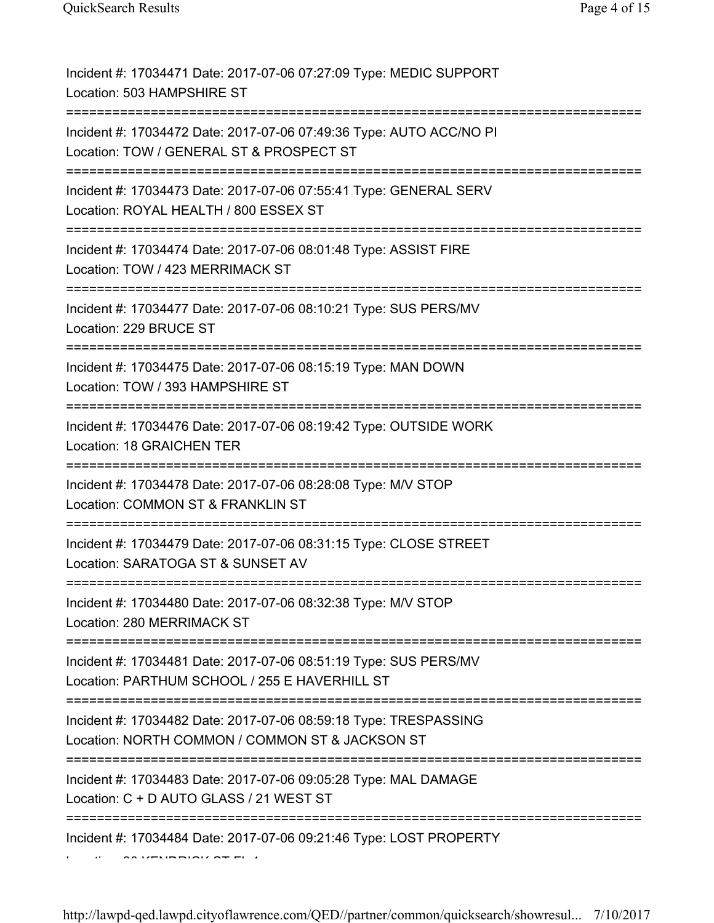| Incident #: 17034471 Date: 2017-07-06 07:27:09 Type: MEDIC SUPPORT<br>Location: 503 HAMPSHIRE ST                                                         |
|----------------------------------------------------------------------------------------------------------------------------------------------------------|
| Incident #: 17034472 Date: 2017-07-06 07:49:36 Type: AUTO ACC/NO PI<br>Location: TOW / GENERAL ST & PROSPECT ST                                          |
| Incident #: 17034473 Date: 2017-07-06 07:55:41 Type: GENERAL SERV<br>Location: ROYAL HEALTH / 800 ESSEX ST<br>;==================================        |
| Incident #: 17034474 Date: 2017-07-06 08:01:48 Type: ASSIST FIRE<br>Location: TOW / 423 MERRIMACK ST<br>===================                              |
| Incident #: 17034477 Date: 2017-07-06 08:10:21 Type: SUS PERS/MV<br>Location: 229 BRUCE ST                                                               |
| Incident #: 17034475 Date: 2017-07-06 08:15:19 Type: MAN DOWN<br>Location: TOW / 393 HAMPSHIRE ST                                                        |
| Incident #: 17034476 Date: 2017-07-06 08:19:42 Type: OUTSIDE WORK<br>Location: 18 GRAICHEN TER                                                           |
| Incident #: 17034478 Date: 2017-07-06 08:28:08 Type: M/V STOP<br>Location: COMMON ST & FRANKLIN ST                                                       |
| Incident #: 17034479 Date: 2017-07-06 08:31:15 Type: CLOSE STREET<br>Location: SARATOGA ST & SUNSET AV                                                   |
| Incident #: 17034480 Date: 2017-07-06 08:32:38 Type: M/V STOP<br>Location: 280 MERRIMACK ST                                                              |
| Incident #: 17034481 Date: 2017-07-06 08:51:19 Type: SUS PERS/MV<br>Location: PARTHUM SCHOOL / 255 E HAVERHILL ST<br>:================================== |
| Incident #: 17034482 Date: 2017-07-06 08:59:18 Type: TRESPASSING<br>Location: NORTH COMMON / COMMON ST & JACKSON ST                                      |
| Incident #: 17034483 Date: 2017-07-06 09:05:28 Type: MAL DAMAGE<br>Location: C + D AUTO GLASS / 21 WEST ST                                               |
| Incident #: 17034484 Date: 2017-07-06 09:21:46 Type: LOST PROPERTY                                                                                       |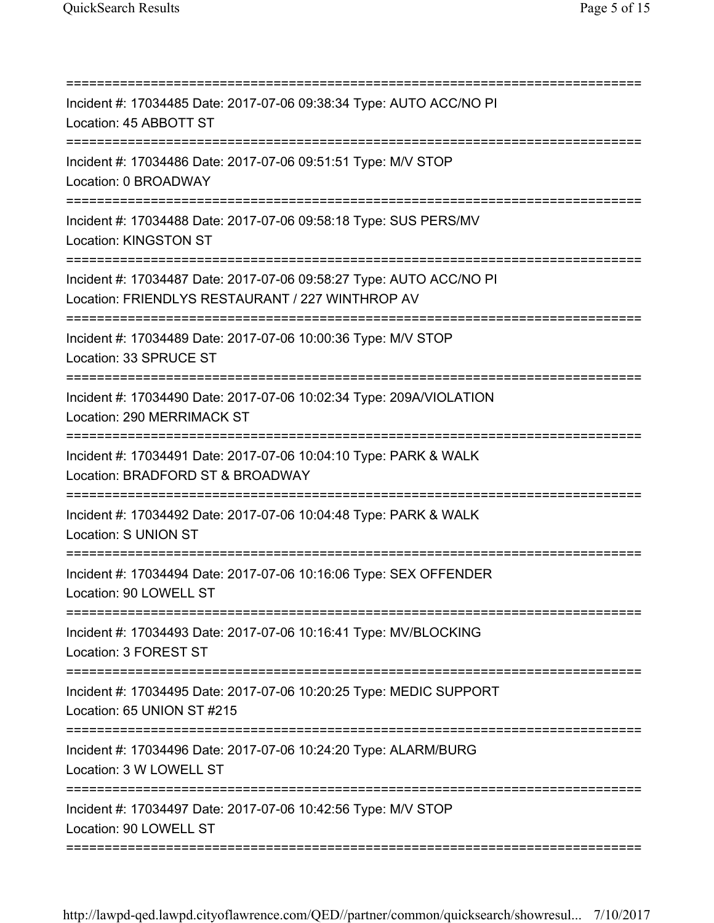| ==================================                                                                                           |
|------------------------------------------------------------------------------------------------------------------------------|
| Incident #: 17034485 Date: 2017-07-06 09:38:34 Type: AUTO ACC/NO PI<br>Location: 45 ABBOTT ST                                |
| Incident #: 17034486 Date: 2017-07-06 09:51:51 Type: M/V STOP<br>Location: 0 BROADWAY                                        |
| Incident #: 17034488 Date: 2017-07-06 09:58:18 Type: SUS PERS/MV<br>Location: KINGSTON ST                                    |
| Incident #: 17034487 Date: 2017-07-06 09:58:27 Type: AUTO ACC/NO PI<br>Location: FRIENDLYS RESTAURANT / 227 WINTHROP AV      |
| Incident #: 17034489 Date: 2017-07-06 10:00:36 Type: M/V STOP<br>Location: 33 SPRUCE ST                                      |
| =======================<br>Incident #: 17034490 Date: 2017-07-06 10:02:34 Type: 209A/VIOLATION<br>Location: 290 MERRIMACK ST |
| Incident #: 17034491 Date: 2017-07-06 10:04:10 Type: PARK & WALK<br>Location: BRADFORD ST & BROADWAY                         |
| Incident #: 17034492 Date: 2017-07-06 10:04:48 Type: PARK & WALK<br>Location: S UNION ST                                     |
| Incident #: 17034494 Date: 2017-07-06 10:16:06 Type: SEX OFFENDER<br>Location: 90 LOWELL ST                                  |
| Incident #: 17034493 Date: 2017-07-06 10:16:41 Type: MV/BLOCKING<br>Location: 3 FOREST ST                                    |
| Incident #: 17034495 Date: 2017-07-06 10:20:25 Type: MEDIC SUPPORT<br>Location: 65 UNION ST #215                             |
| Incident #: 17034496 Date: 2017-07-06 10:24:20 Type: ALARM/BURG<br>Location: 3 W LOWELL ST                                   |
| Incident #: 17034497 Date: 2017-07-06 10:42:56 Type: M/V STOP<br>Location: 90 LOWELL ST                                      |
|                                                                                                                              |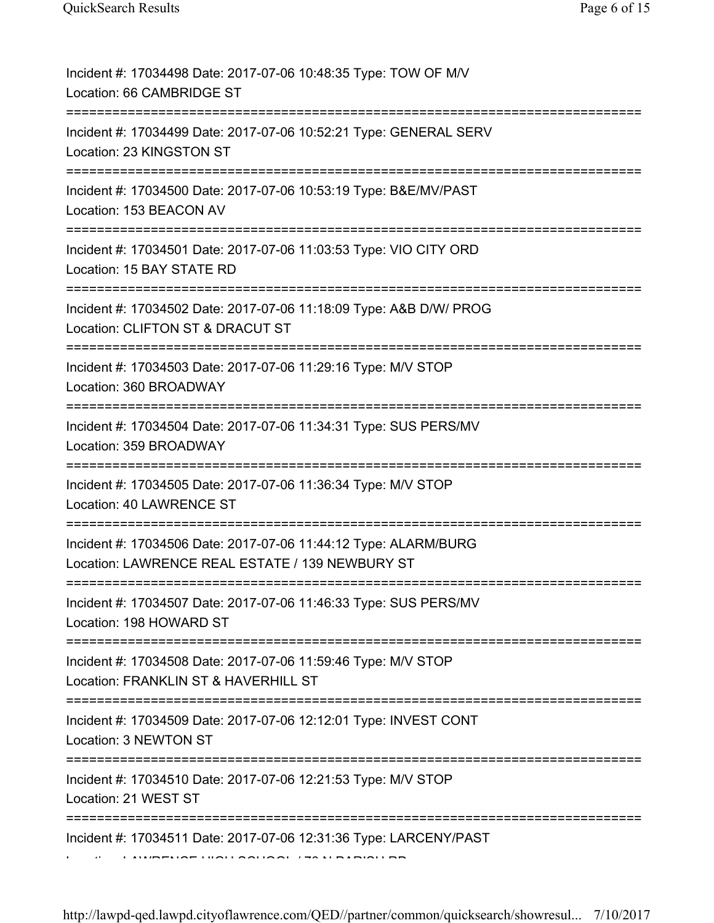| Incident #: 17034498 Date: 2017-07-06 10:48:35 Type: TOW OF M/V<br>Location: 66 CAMBRIDGE ST                                     |
|----------------------------------------------------------------------------------------------------------------------------------|
| Incident #: 17034499 Date: 2017-07-06 10:52:21 Type: GENERAL SERV<br>Location: 23 KINGSTON ST                                    |
| Incident #: 17034500 Date: 2017-07-06 10:53:19 Type: B&E/MV/PAST<br>Location: 153 BEACON AV                                      |
| Incident #: 17034501 Date: 2017-07-06 11:03:53 Type: VIO CITY ORD<br>Location: 15 BAY STATE RD<br>============================== |
| Incident #: 17034502 Date: 2017-07-06 11:18:09 Type: A&B D/W/ PROG<br>Location: CLIFTON ST & DRACUT ST                           |
| Incident #: 17034503 Date: 2017-07-06 11:29:16 Type: M/V STOP<br>Location: 360 BROADWAY                                          |
| Incident #: 17034504 Date: 2017-07-06 11:34:31 Type: SUS PERS/MV<br>Location: 359 BROADWAY                                       |
| Incident #: 17034505 Date: 2017-07-06 11:36:34 Type: M/V STOP<br>Location: 40 LAWRENCE ST                                        |
| Incident #: 17034506 Date: 2017-07-06 11:44:12 Type: ALARM/BURG<br>Location: LAWRENCE REAL ESTATE / 139 NEWBURY ST               |
| Incident #: 17034507 Date: 2017-07-06 11:46:33 Type: SUS PERS/MV<br>Location: 198 HOWARD ST                                      |
| Incident #: 17034508 Date: 2017-07-06 11:59:46 Type: M/V STOP<br>Location: FRANKLIN ST & HAVERHILL ST                            |
| :=======================<br>Incident #: 17034509 Date: 2017-07-06 12:12:01 Type: INVEST CONT<br>Location: 3 NEWTON ST            |
| Incident #: 17034510 Date: 2017-07-06 12:21:53 Type: M/V STOP<br>Location: 21 WEST ST                                            |
| Incident #: 17034511 Date: 2017-07-06 12:31:36 Type: LARCENY/PAST                                                                |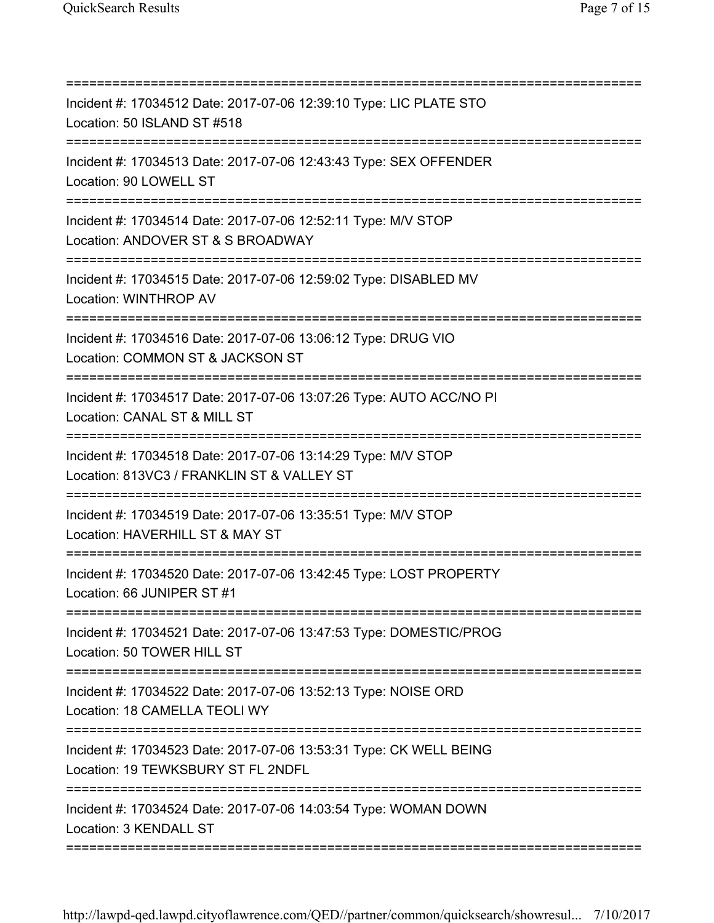| Incident #: 17034512 Date: 2017-07-06 12:39:10 Type: LIC PLATE STO<br>Location: 50 ISLAND ST #518                                 |
|-----------------------------------------------------------------------------------------------------------------------------------|
| Incident #: 17034513 Date: 2017-07-06 12:43:43 Type: SEX OFFENDER<br>Location: 90 LOWELL ST<br>---------------------------------  |
| Incident #: 17034514 Date: 2017-07-06 12:52:11 Type: M/V STOP<br>Location: ANDOVER ST & S BROADWAY                                |
| Incident #: 17034515 Date: 2017-07-06 12:59:02 Type: DISABLED MV<br>Location: WINTHROP AV<br>=================================    |
| Incident #: 17034516 Date: 2017-07-06 13:06:12 Type: DRUG VIO<br>Location: COMMON ST & JACKSON ST                                 |
| Incident #: 17034517 Date: 2017-07-06 13:07:26 Type: AUTO ACC/NO PI<br>Location: CANAL ST & MILL ST                               |
| Incident #: 17034518 Date: 2017-07-06 13:14:29 Type: M/V STOP<br>Location: 813VC3 / FRANKLIN ST & VALLEY ST                       |
| :============================<br>Incident #: 17034519 Date: 2017-07-06 13:35:51 Type: M/V STOP<br>Location: HAVERHILL ST & MAY ST |
| Incident #: 17034520 Date: 2017-07-06 13:42:45 Type: LOST PROPERTY<br>Location: 66 JUNIPER ST #1                                  |
| Incident #: 17034521 Date: 2017-07-06 13:47:53 Type: DOMESTIC/PROG<br>Location: 50 TOWER HILL ST                                  |
| Incident #: 17034522 Date: 2017-07-06 13:52:13 Type: NOISE ORD<br>Location: 18 CAMELLA TEOLI WY                                   |
| Incident #: 17034523 Date: 2017-07-06 13:53:31 Type: CK WELL BEING<br>Location: 19 TEWKSBURY ST FL 2NDFL                          |
| Incident #: 17034524 Date: 2017-07-06 14:03:54 Type: WOMAN DOWN<br>Location: 3 KENDALL ST                                         |
|                                                                                                                                   |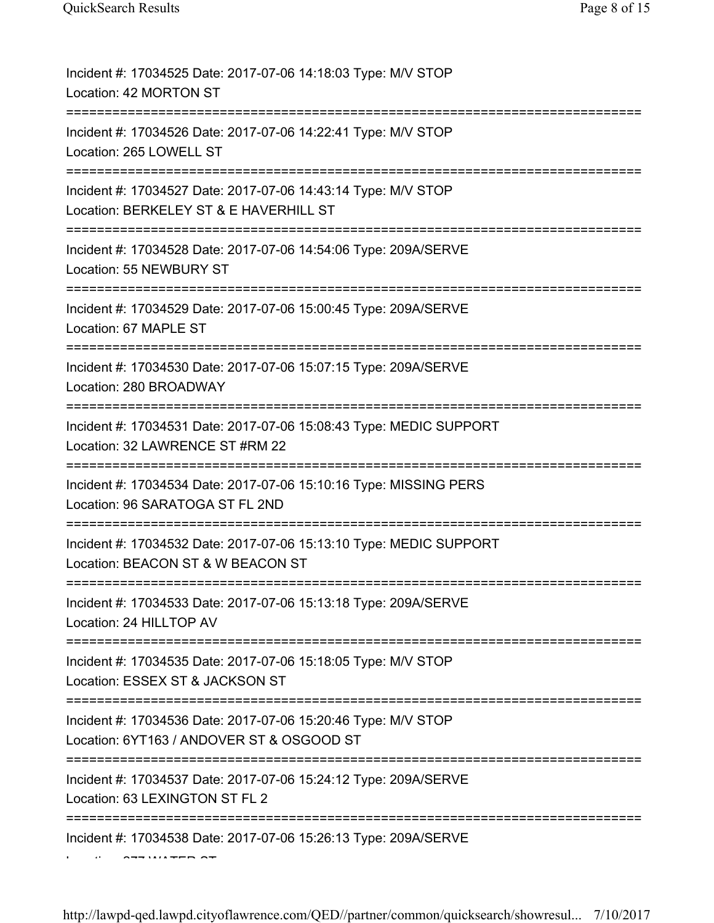| Incident #: 17034525 Date: 2017-07-06 14:18:03 Type: M/V STOP<br>Location: 42 MORTON ST                                                  |
|------------------------------------------------------------------------------------------------------------------------------------------|
| Incident #: 17034526 Date: 2017-07-06 14:22:41 Type: M/V STOP<br>Location: 265 LOWELL ST                                                 |
| Incident #: 17034527 Date: 2017-07-06 14:43:14 Type: M/V STOP<br>Location: BERKELEY ST & E HAVERHILL ST<br>:====================         |
| Incident #: 17034528 Date: 2017-07-06 14:54:06 Type: 209A/SERVE<br>Location: 55 NEWBURY ST                                               |
| Incident #: 17034529 Date: 2017-07-06 15:00:45 Type: 209A/SERVE<br>Location: 67 MAPLE ST                                                 |
| Incident #: 17034530 Date: 2017-07-06 15:07:15 Type: 209A/SERVE<br>Location: 280 BROADWAY                                                |
| Incident #: 17034531 Date: 2017-07-06 15:08:43 Type: MEDIC SUPPORT<br>Location: 32 LAWRENCE ST #RM 22                                    |
| Incident #: 17034534 Date: 2017-07-06 15:10:16 Type: MISSING PERS<br>Location: 96 SARATOGA ST FL 2ND<br>===============================  |
| Incident #: 17034532 Date: 2017-07-06 15:13:10 Type: MEDIC SUPPORT<br>Location: BEACON ST & W BEACON ST                                  |
| Incident #: 17034533 Date: 2017-07-06 15:13:18 Type: 209A/SERVE<br>Location: 24 HILLTOP AV                                               |
| Incident #: 17034535 Date: 2017-07-06 15:18:05 Type: M/V STOP<br>Location: ESSEX ST & JACKSON ST                                         |
| ==========================<br>Incident #: 17034536 Date: 2017-07-06 15:20:46 Type: M/V STOP<br>Location: 6YT163 / ANDOVER ST & OSGOOD ST |
| Incident #: 17034537 Date: 2017-07-06 15:24:12 Type: 209A/SERVE<br>Location: 63 LEXINGTON ST FL 2                                        |
| Incident #: 17034538 Date: 2017-07-06 15:26:13 Type: 209A/SERVE                                                                          |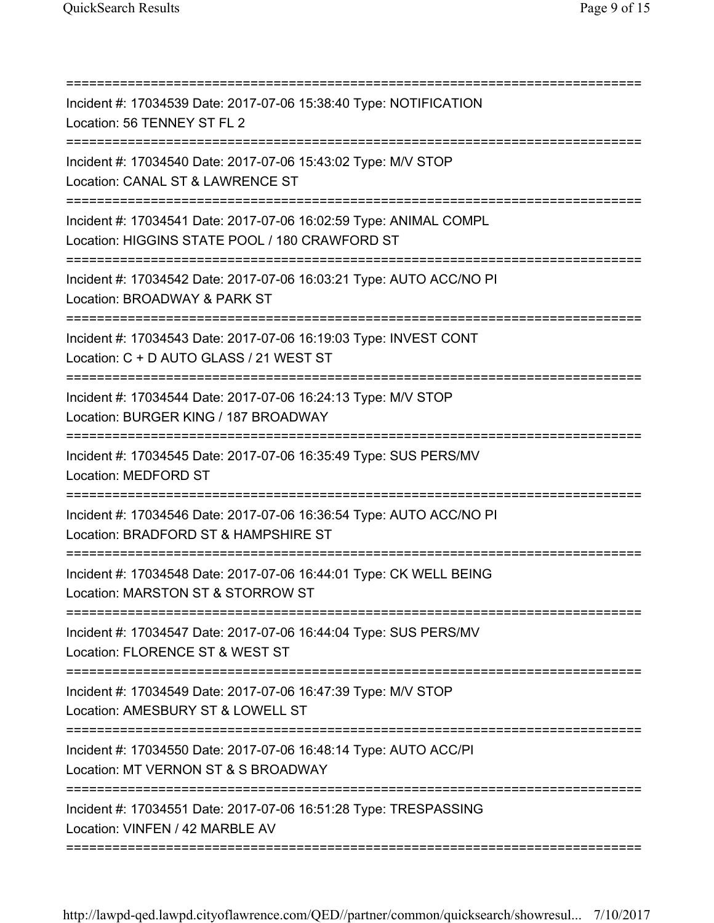| Incident #: 17034539 Date: 2017-07-06 15:38:40 Type: NOTIFICATION<br>Location: 56 TENNEY ST FL 2<br>=============================== |
|-------------------------------------------------------------------------------------------------------------------------------------|
| Incident #: 17034540 Date: 2017-07-06 15:43:02 Type: M/V STOP<br>Location: CANAL ST & LAWRENCE ST<br>========================       |
| Incident #: 17034541 Date: 2017-07-06 16:02:59 Type: ANIMAL COMPL<br>Location: HIGGINS STATE POOL / 180 CRAWFORD ST                 |
| Incident #: 17034542 Date: 2017-07-06 16:03:21 Type: AUTO ACC/NO PI<br>Location: BROADWAY & PARK ST                                 |
| Incident #: 17034543 Date: 2017-07-06 16:19:03 Type: INVEST CONT<br>Location: C + D AUTO GLASS / 21 WEST ST                         |
| Incident #: 17034544 Date: 2017-07-06 16:24:13 Type: M/V STOP<br>Location: BURGER KING / 187 BROADWAY<br>:========================  |
| Incident #: 17034545 Date: 2017-07-06 16:35:49 Type: SUS PERS/MV<br>Location: MEDFORD ST                                            |
| Incident #: 17034546 Date: 2017-07-06 16:36:54 Type: AUTO ACC/NO PI<br>Location: BRADFORD ST & HAMPSHIRE ST                         |
| Incident #: 17034548 Date: 2017-07-06 16:44:01 Type: CK WELL BEING<br>Location: MARSTON ST & STORROW ST                             |
| Incident #: 17034547 Date: 2017-07-06 16:44:04 Type: SUS PERS/MV<br>Location: FLORENCE ST & WEST ST<br>:======================      |
| Incident #: 17034549 Date: 2017-07-06 16:47:39 Type: M/V STOP<br>Location: AMESBURY ST & LOWELL ST                                  |
| Incident #: 17034550 Date: 2017-07-06 16:48:14 Type: AUTO ACC/PI<br>Location: MT VERNON ST & S BROADWAY                             |
| Incident #: 17034551 Date: 2017-07-06 16:51:28 Type: TRESPASSING<br>Location: VINFEN / 42 MARBLE AV                                 |
|                                                                                                                                     |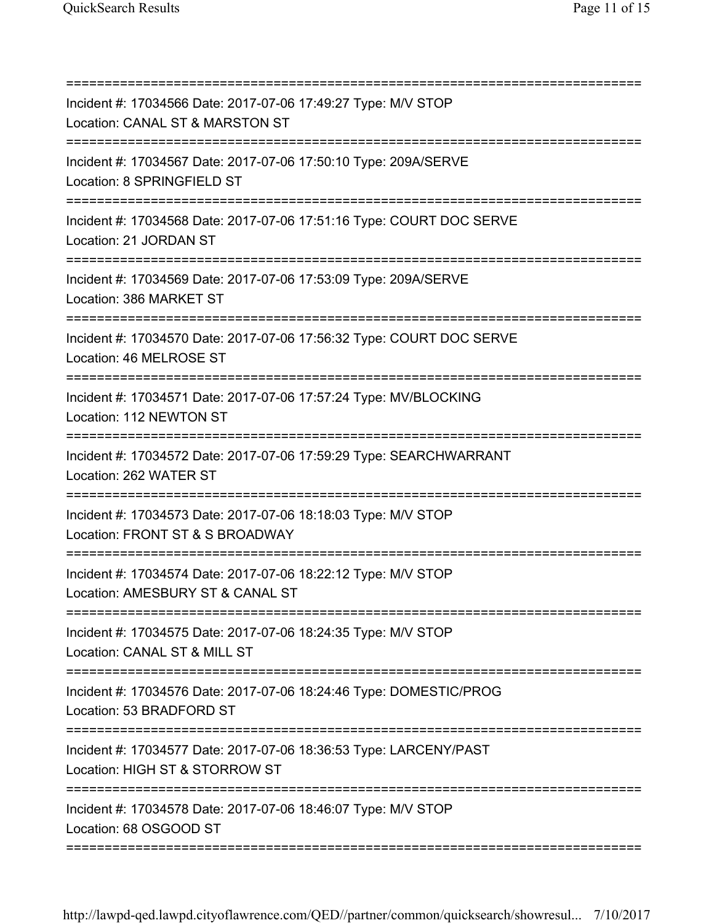| Incident #: 17034566 Date: 2017-07-06 17:49:27 Type: M/V STOP<br>Location: CANAL ST & MARSTON ST<br>===================== |
|---------------------------------------------------------------------------------------------------------------------------|
| Incident #: 17034567 Date: 2017-07-06 17:50:10 Type: 209A/SERVE<br>Location: 8 SPRINGFIELD ST                             |
| Incident #: 17034568 Date: 2017-07-06 17:51:16 Type: COURT DOC SERVE<br>Location: 21 JORDAN ST                            |
| Incident #: 17034569 Date: 2017-07-06 17:53:09 Type: 209A/SERVE<br>Location: 386 MARKET ST                                |
| Incident #: 17034570 Date: 2017-07-06 17:56:32 Type: COURT DOC SERVE<br>Location: 46 MELROSE ST                           |
| Incident #: 17034571 Date: 2017-07-06 17:57:24 Type: MV/BLOCKING<br>Location: 112 NEWTON ST                               |
| Incident #: 17034572 Date: 2017-07-06 17:59:29 Type: SEARCHWARRANT<br>Location: 262 WATER ST                              |
| Incident #: 17034573 Date: 2017-07-06 18:18:03 Type: M/V STOP<br>Location: FRONT ST & S BROADWAY                          |
| Incident #: 17034574 Date: 2017-07-06 18:22:12 Type: M/V STOP<br>Location: AMESBURY ST & CANAL ST                         |
| Incident #: 17034575 Date: 2017-07-06 18:24:35 Type: M/V STOP<br>Location: CANAL ST & MILL ST                             |
| Incident #: 17034576 Date: 2017-07-06 18:24:46 Type: DOMESTIC/PROG<br>Location: 53 BRADFORD ST                            |
| Incident #: 17034577 Date: 2017-07-06 18:36:53 Type: LARCENY/PAST<br>Location: HIGH ST & STORROW ST                       |
| Incident #: 17034578 Date: 2017-07-06 18:46:07 Type: M/V STOP<br>Location: 68 OSGOOD ST                                   |

===========================================================================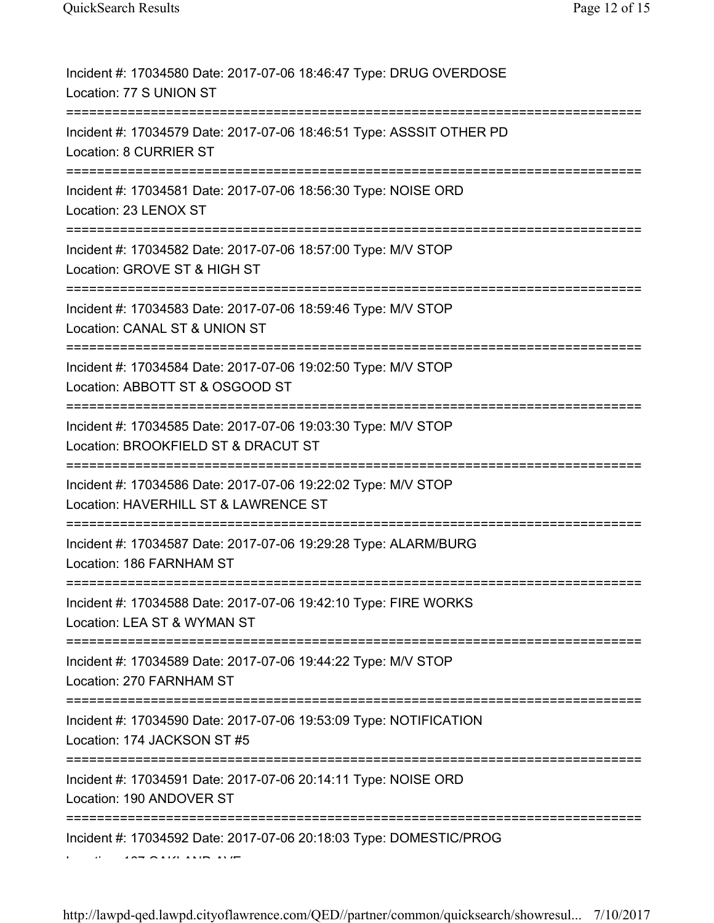| Incident #: 17034580 Date: 2017-07-06 18:46:47 Type: DRUG OVERDOSE<br>Location: 77 S UNION ST                                        |
|--------------------------------------------------------------------------------------------------------------------------------------|
| Incident #: 17034579 Date: 2017-07-06 18:46:51 Type: ASSSIT OTHER PD<br>Location: 8 CURRIER ST                                       |
| Incident #: 17034581 Date: 2017-07-06 18:56:30 Type: NOISE ORD<br>Location: 23 LENOX ST                                              |
| Incident #: 17034582 Date: 2017-07-06 18:57:00 Type: M/V STOP<br>Location: GROVE ST & HIGH ST<br>====================                |
| Incident #: 17034583 Date: 2017-07-06 18:59:46 Type: M/V STOP<br>Location: CANAL ST & UNION ST                                       |
| Incident #: 17034584 Date: 2017-07-06 19:02:50 Type: M/V STOP<br>Location: ABBOTT ST & OSGOOD ST                                     |
| Incident #: 17034585 Date: 2017-07-06 19:03:30 Type: M/V STOP<br>Location: BROOKFIELD ST & DRACUT ST<br>========================     |
| Incident #: 17034586 Date: 2017-07-06 19:22:02 Type: M/V STOP<br>Location: HAVERHILL ST & LAWRENCE ST                                |
| Incident #: 17034587 Date: 2017-07-06 19:29:28 Type: ALARM/BURG<br>Location: 186 FARNHAM ST<br>===================================== |
| Incident #: 17034588 Date: 2017-07-06 19:42:10 Type: FIRE WORKS<br>Location: LEA ST & WYMAN ST                                       |
| Incident #: 17034589 Date: 2017-07-06 19:44:22 Type: M/V STOP<br>Location: 270 FARNHAM ST<br>=======================                 |
| Incident #: 17034590 Date: 2017-07-06 19:53:09 Type: NOTIFICATION<br>Location: 174 JACKSON ST #5                                     |
| Incident #: 17034591 Date: 2017-07-06 20:14:11 Type: NOISE ORD<br>Location: 190 ANDOVER ST                                           |
| Incident #: 17034592 Date: 2017-07-06 20:18:03 Type: DOMESTIC/PROG                                                                   |
|                                                                                                                                      |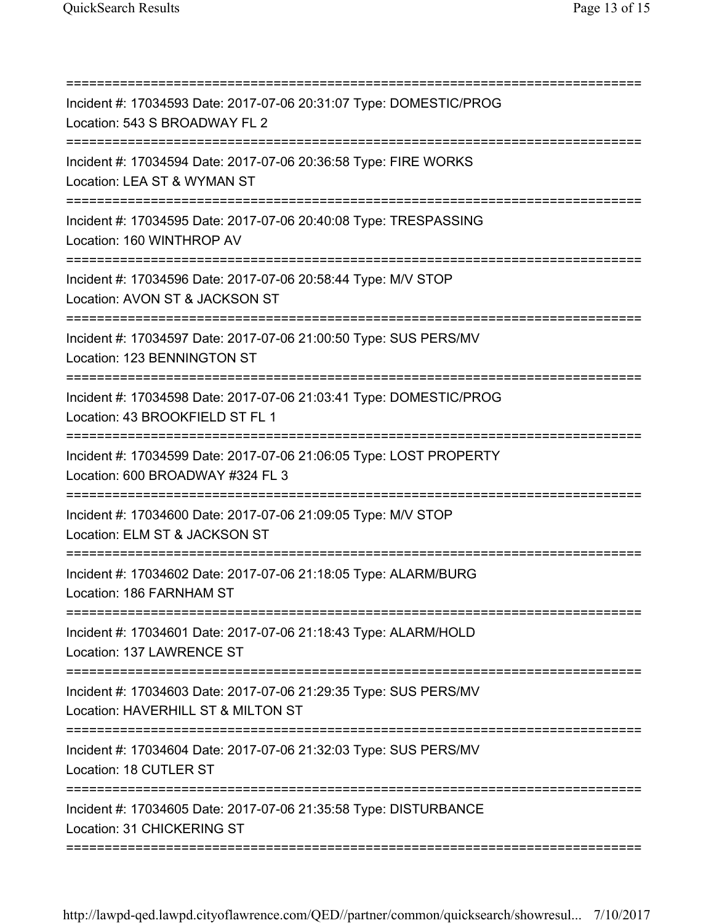| Incident #: 17034593 Date: 2017-07-06 20:31:07 Type: DOMESTIC/PROG<br>Location: 543 S BROADWAY FL 2           |
|---------------------------------------------------------------------------------------------------------------|
| Incident #: 17034594 Date: 2017-07-06 20:36:58 Type: FIRE WORKS<br>Location: LEA ST & WYMAN ST                |
| Incident #: 17034595 Date: 2017-07-06 20:40:08 Type: TRESPASSING<br>Location: 160 WINTHROP AV                 |
| Incident #: 17034596 Date: 2017-07-06 20:58:44 Type: M/V STOP<br>Location: AVON ST & JACKSON ST               |
| Incident #: 17034597 Date: 2017-07-06 21:00:50 Type: SUS PERS/MV<br>Location: 123 BENNINGTON ST               |
| Incident #: 17034598 Date: 2017-07-06 21:03:41 Type: DOMESTIC/PROG<br>Location: 43 BROOKFIELD ST FL 1         |
| Incident #: 17034599 Date: 2017-07-06 21:06:05 Type: LOST PROPERTY<br>Location: 600 BROADWAY #324 FL 3        |
| ===========<br>Incident #: 17034600 Date: 2017-07-06 21:09:05 Type: M/V STOP<br>Location: ELM ST & JACKSON ST |
| Incident #: 17034602 Date: 2017-07-06 21:18:05 Type: ALARM/BURG<br>Location: 186 FARNHAM ST                   |
| Incident #: 17034601 Date: 2017-07-06 21:18:43 Type: ALARM/HOLD<br>Location: 137 LAWRENCE ST                  |
| Incident #: 17034603 Date: 2017-07-06 21:29:35 Type: SUS PERS/MV<br>Location: HAVERHILL ST & MILTON ST        |
| Incident #: 17034604 Date: 2017-07-06 21:32:03 Type: SUS PERS/MV<br>Location: 18 CUTLER ST                    |
| Incident #: 17034605 Date: 2017-07-06 21:35:58 Type: DISTURBANCE<br>Location: 31 CHICKERING ST                |
|                                                                                                               |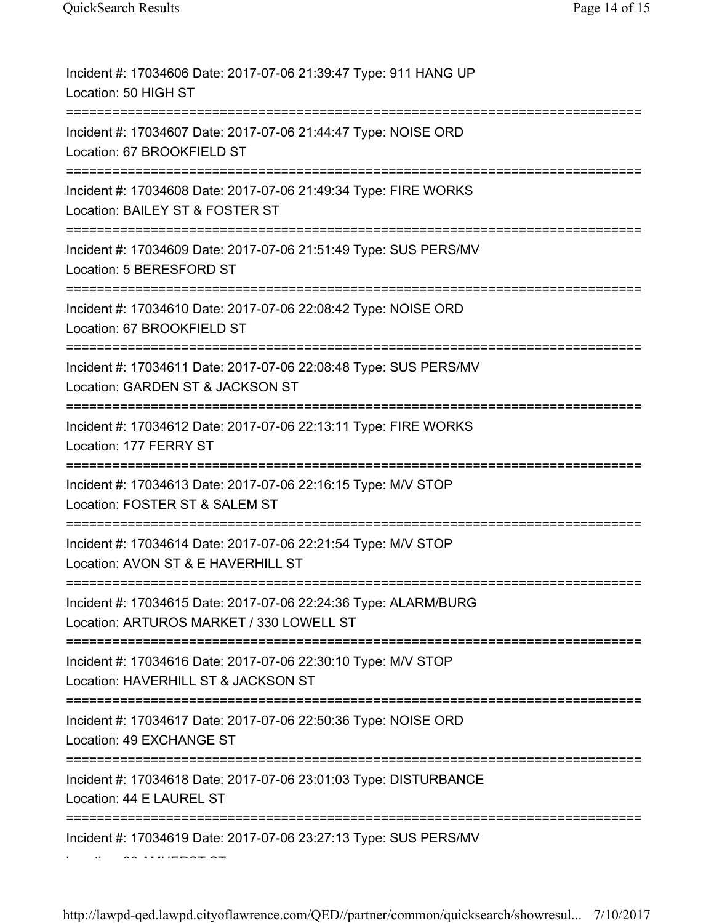| Incident #: 17034606 Date: 2017-07-06 21:39:47 Type: 911 HANG UP<br>Location: 50 HIGH ST                                              |
|---------------------------------------------------------------------------------------------------------------------------------------|
| Incident #: 17034607 Date: 2017-07-06 21:44:47 Type: NOISE ORD<br>Location: 67 BROOKFIELD ST                                          |
| Incident #: 17034608 Date: 2017-07-06 21:49:34 Type: FIRE WORKS<br>Location: BAILEY ST & FOSTER ST                                    |
| Incident #: 17034609 Date: 2017-07-06 21:51:49 Type: SUS PERS/MV<br>Location: 5 BERESFORD ST                                          |
| Incident #: 17034610 Date: 2017-07-06 22:08:42 Type: NOISE ORD<br>Location: 67 BROOKFIELD ST                                          |
| Incident #: 17034611 Date: 2017-07-06 22:08:48 Type: SUS PERS/MV<br>Location: GARDEN ST & JACKSON ST                                  |
| Incident #: 17034612 Date: 2017-07-06 22:13:11 Type: FIRE WORKS<br>Location: 177 FERRY ST                                             |
| Incident #: 17034613 Date: 2017-07-06 22:16:15 Type: M/V STOP<br>Location: FOSTER ST & SALEM ST                                       |
| Incident #: 17034614 Date: 2017-07-06 22:21:54 Type: M/V STOP<br>Location: AVON ST & E HAVERHILL ST                                   |
| Incident #: 17034615 Date: 2017-07-06 22:24:36 Type: ALARM/BURG<br>Location: ARTUROS MARKET / 330 LOWELL ST                           |
| Incident #: 17034616 Date: 2017-07-06 22:30:10 Type: M/V STOP<br>Location: HAVERHILL ST & JACKSON ST                                  |
| Incident #: 17034617 Date: 2017-07-06 22:50:36 Type: NOISE ORD<br>Location: 49 EXCHANGE ST                                            |
| ;====================================<br>Incident #: 17034618 Date: 2017-07-06 23:01:03 Type: DISTURBANCE<br>Location: 44 E LAUREL ST |
| Incident #: 17034619 Date: 2017-07-06 23:27:13 Type: SUS PERS/MV                                                                      |